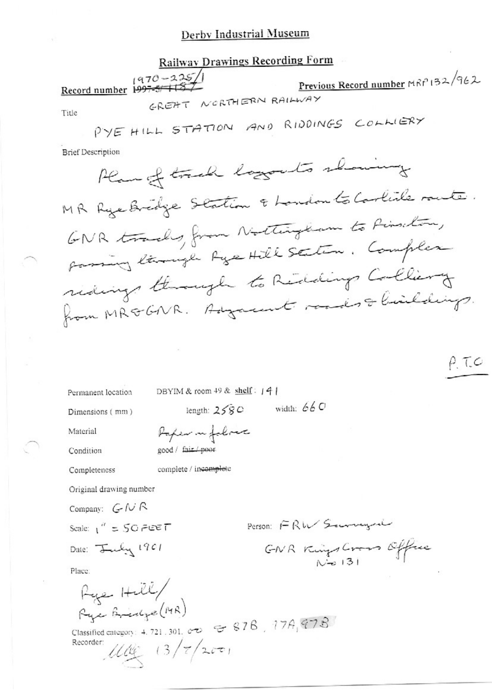#### Derby Industrial Museum

# **Railway Drawings Recording Form** Record number 1997-5/137 Previous Record number MRP 132/962 GREAT NORTHERN RAILWAY Title PYE HILL STATION AND RIDDINGS COLLIERY **Brief Description** Plan of track logouts showing MR Rye Bredge Station & London to Carlile rante. GNR tracks, from Nothington to Pinschon, forming lange fye Hill Station. Complex redings through to Redding Colliery from MRGGNR. Adgament roades & buildings.  $P.$  T.C

Permanent location

DBYIM & room 49 & shelf: 141

Dimensions (mm)

length:  $258C$  width:  $66C$ 

Material

Condition

Completeness

Reper in follows good / fair / poor

complete / incomplete

Original drawing number

Company: GNR

Scale:  $1'' = 50$  FEET Date: July 1901

Person: FRW Seconogue

GNR Kings Cross Office

Place:

 $A$ <br> $A$ Rye Bridge (MR)

Classified category: 4.721.301. 00  $\sigma$   $\approx$  878, 778, 978 Recorder:  $1100 (3/7/200)$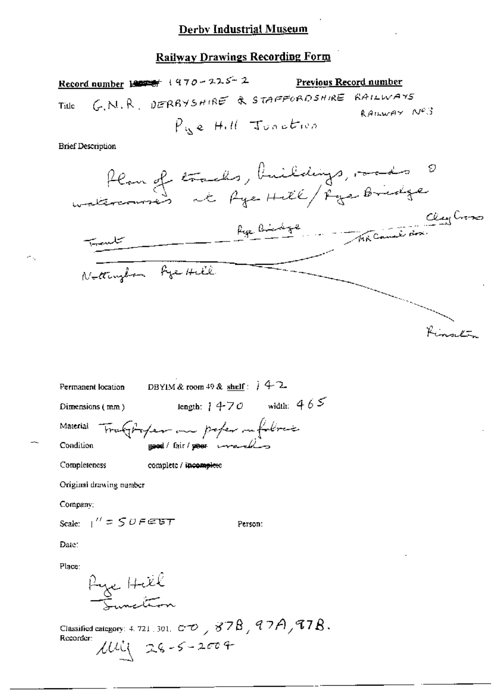Record number 1907 + 470 - 225 - 2 Previous Record number G.N.R. DERBYSHIRE & STAFFORDSHIRE RAILWAYS Title RAILWAY Nº3 Pue Hill Junction

**Brief Description** 

Ж,

Permanent location

\nDBYIM & room 49 & shell: 
$$
42
$$

\nDimensions (mm)

\nlength:  $1470$  width:  $465$ 

\nMaterial

\nTru(1) -100

\nCondition

\ngood/ fair/power method

\nCompleteness

\nComplete

\nComplete

Original drawing number

Company:

Scale:  $1'' = 50$  F EBT

Person:

Date:

Place:

Rye Hill

Classified category: 4, 721, 301,  $\sigma \infty$ , 878, 97A, 97B. Recorder:  $100 - 26 - 5 - 2004$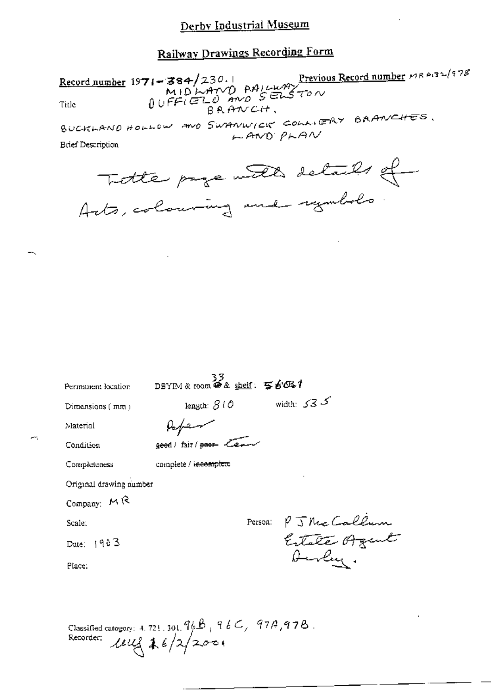Record number 1971 - 384/230.1<br>MIDLAND RAILWAY<br>Title  $0 \cup F \in (E \cup E)$  and  $S \in L$  for BRANCH, BUCKLAND HOLLOW AND SWANWICK COLLERY BAANCHES.  $LAMO$   $P<sub>h</sub>AN$ **Brief Description** 

| Title page with details of   |  |  |
|------------------------------|--|--|
| Acts, colouring and rymbols. |  |  |

 $\overline{a}$ 

÷.

| Permanent location      | 33<br>DBYIM&room @ & shelf: 写白OS+ |                      |
|-------------------------|-----------------------------------|----------------------|
| Dimensions (mm)         | length: $\beta$ ( $\phi$ )        | width: $535$         |
| Material                |                                   |                      |
| Condition               | geed / fair / poor lear           |                      |
| Completeness            | complete / incomplete             |                      |
| Original drawing number |                                   |                      |
| Company: $M$ R          |                                   |                      |
| Scale:                  |                                   | Person: PJ Me Callum |
| Date: $1903$            |                                   |                      |
| Place:                  |                                   | Aurley.              |
|                         |                                   |                      |
|                         |                                   |                      |

Classified category: 4.721.301. 96B, 96C, 97A, 97B.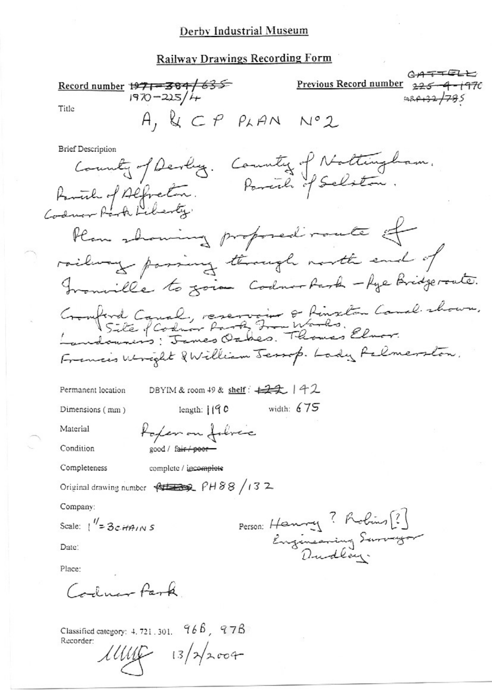#### Derby Industrial Museum

#### **Railway Drawings Recording Form**

 $A + F$ Previous Record number Record number 1971-384/635 Title  $A, KCP$   $P_{k}AN$   $N^{\circ}2$ **Brief Description** County of Devly. County of Nottingham.<br>ich of Alfreton. Parcich of Selston. Ramich of Alfredin.<br>Codnor Rach Liberty. Plan showing proposed route of railway passing through north end of Granville to zoion Codnor Park - Age Bridgerate. Cronferd Caual, reservoir & Rinseton Caual shown.<br>Landowners: Jemes Oakes. Thomas Elmor. Francis Wright & William Jessop. Lady Relmerston. DBYIM & room 49 & shelf:  $\neq$   $\neq$   $\downarrow$   $\neq$   $\downarrow$ Permanent location width:  $675$ length:  $1190$ Dimensions (mm) topen on follow Material Condition good / fair / poor-Completeness complete / incomplete Original drawing number  $\frac{1}{2}$  PH88 /13 2 Company: Person: Henry ? Robins [?] Scale:  $1'' = 3cH4/NS$ Engineering Surveyor Date: Place: Carlmar Park

Classified category:  $4.721.301$ .  $966$ ,  $978$ Recorder:  $111116 - 13/72004$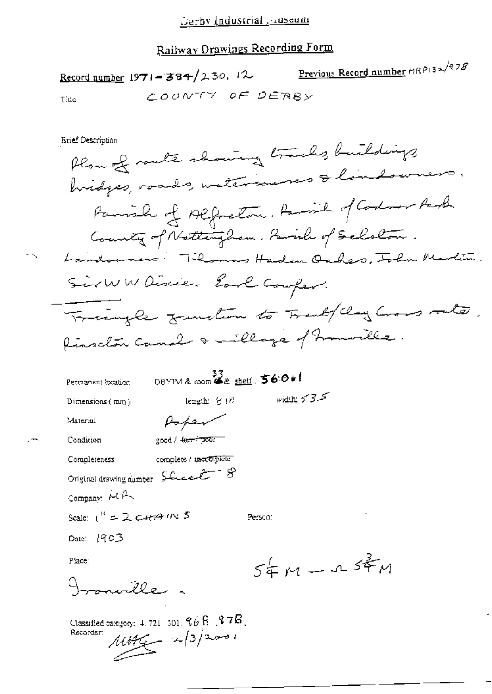Previous Record number MRP132/978 Record number  $1971 - 384/230$ , 12 COUNTY OF DEABY Tide

**Brief Description** 

Plan of route showing tracks, buildings hidges, roads, waterisures & londowners. Parish of Alfreton, Ramil of Codom Park County of Nottingham, Pavil of Schalon. Landowners: Thomas Haden Oakes, John Martin. SirWWDiscie- Earl Couper. Triangle function to Frentflag Cross rate. Rinschan Camal & millage of homorelles.

| Permanent location            | DBYIM& room && shelf. 56:001    |                    |  |
|-------------------------------|---------------------------------|--------------------|--|
| Dimensions $(mn)$             | length: $S/O$                   | width: $5 - 3 - 5$ |  |
| Material                      | $\mu$ - $\mu$ -                 |                    |  |
| Condition                     | good / fei <del>r / poor</del>  |                    |  |
| Completeness                  | complete / tacomplete           |                    |  |
|                               | Original drawing number Sheet 8 |                    |  |
| Company: MA                   |                                 |                    |  |
| Scale: $1^R = 2$ carry $1N$ 5 |                                 | Person:            |  |
| Date: $1903$                  |                                 |                    |  |
| Place:                        |                                 | $54M - 154M$       |  |
| به ۱۷۶ که                     |                                 |                    |  |
|                               |                                 |                    |  |

Classified category:  $4.721, 501, 96$   $8, 97$  $6$ .  $11446 - 2/3/2001$ Recorder: